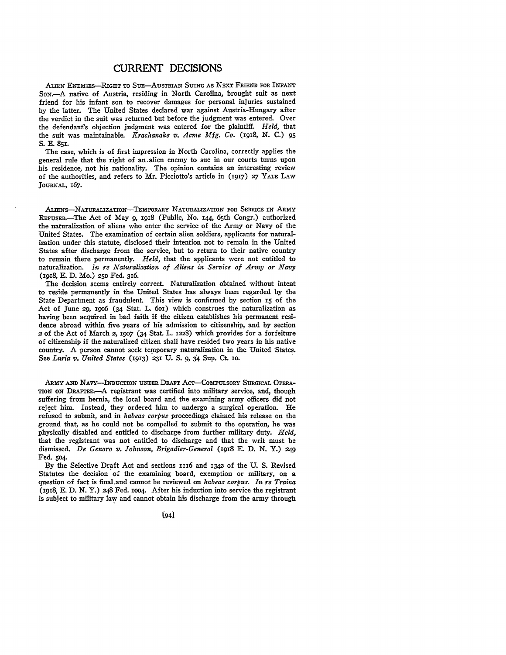## CURRENT **DECISIONS**

ALIEN ENEMIES-RIGHT TO SUE-AUSTRIAN SUING AS NEXT FRIEND FOR INFANT SoN .- A native of Austria, residing in North Carolina, brought suit as next friend for his infant son to recover damages for personal injuries sustained **by** the latter. The United States declared war against Austria-Hungary after the verdict in the suit was returned but before the judgment was entered. Over the defendant's objection judgment was entered for the plaintiff. *Held,* that the suit was maintainable. *Krachanake v. Ac'me Mfg. Co. (1918,* **N. C.) 95** S. **E. 851.**

The case, which is of first impression in North Carolina, correctly applies the general rule that the right of an.alien enemy to sue in our courts turns upon his residence, not his nationality. The opinion contains an interesting review of the authorities, and refers to Mr. Picciotto's article in **(1917)** *27* YALE LAW **JoURNAL,** 167.

ALIENS-NATURALZATIoN--TEmPORARY NATURALIZATION FOR SERVIcE IN ARmY REFUSED.-The Act of May *9,* 1918 (Public, No. **144,** 65th Congr.) authorized the naturalization of aliens who enter the service of the Army or Navy of the United States. The examination of certain alien soldiers, applicants for naturalization under this statute, disclosed their intention not to remain in the United States after discharge from the service, but to return to their native country to remain there permanently. *Held,* that the applicants were not entitled to naturalization. *In re Naturalization of Aliens in Service of Army or Navy* (1918, E. **D.** Mo.) *250* Fed. 316.

The decision seems entirely correct. Naturalization obtained without intent to reside permanently in the United States has always been regarded **by** the State Department as fraudulent. This view is confirmed **by** section **15** of the Act of June 29, 1906 (34 Stat. L. 601) which construes the naturalization as having been acquired in bad faith if the citizen establishes his permanent residence abroad within five years of his admission to citizenship, and **by** section 2 of the Act of March *2,* **i9o7** (34 Stat. L. 1228) which provides for a forfeiture of citizenship if the naturalized citizen shall have resided two years in his native country. A person cannot seek temporary naturalization in the United States. See *Luria v. United States* **(1913)** *231* **U. S.** *9,* **34** Sup. Ct. **IO.**

ARMY **AND** NAvY-INDucTION UNDER DRAFr Acr-CoMPuLsoRY SURGICAL OPERA-TION ON DRAFTEE.--A registrant was certified into military service, and, though suffering from hernia, the local board and the examining army officers did not reject him. Instead, they ordered him to undergo a surgical operation. He refused to submit, and in *habeas corpus* proceedings claimed his release on the ground that, as he could not be compelled to submit to the operation, he was physically disabled and entitled to discharge from further military duty. *Held,* that the registrant was not entitled to discharge and that the writ must be dismissed. *De Genaro v. Johnson, Brigadier-General* (1918 **E. D. N.** Y.) **249** Fed. 504.

By the Selective Draft Act and sections **i116** and 1342 of the U. S. Revised Statutes the decision of the examining board, exemption or military, on a question of fact is final.and cannot be reviewed on *habeas corpus. In re Traina* (1918, E. D. N. Y.) 248 Fed. ioo4. After his induction into service the registrant is subject to military law and cannot obtain his discharge from the army through

 $[94]$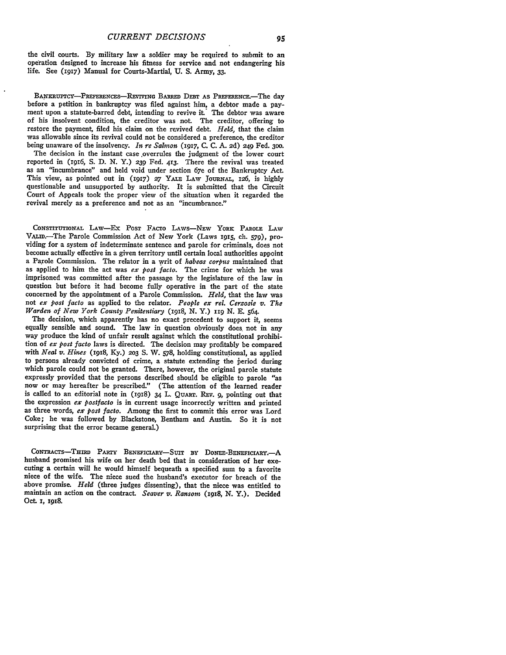the civil courts. **By** military law a soldier may be required to submit to an operation designed to increase his fitness for service and not endangering his life. See **(1917)** Manual for Courts-Martial, **U. S.** Army, **33.**

BANKRUPTCY-PREFERENCES-REVIVING BARRED DEBT AS PREFERENCE.-The day before a petition in bankruptcy was filed against him, a debtor made a payment upon a statute-barred debt, intending to revive it. The debtor was aware of his insolvent condition, the creditor was not. The creditor, offering to restore the payment, filed his claim on the revived debt. *Held,* that the claim was allowable since its revival could not be considered a preference, the creditor being unaware of the insolvency. *In re Salmon* (1917, **C.** C. A. 2d) 249 Fed. **300.** The decision in the instant case overrules the judgment of the lower court

reported in (igi6, S. D. N. Y.) **239** Fed. 413. There the revival was treated as an "incumbrance" and held void under section 67e of the Bankruptcy Act. This view, as pointed out in (1917) *27* YALE LAw **JoURNAL, 126,** is **highly** questionable and unsupported **by** authority. It is submitted that the Circuit Court of Appeals took the proper view of the situation when it regarded the revival merely as a preference and not as an "incumbrance."

**CONSTITUTIOAL** LAw-Ex POST FACTO LAWS--NENW YORK PAROLE LAW VAim.-The Parole Commission Act of New York (Laws **1915,** ch. **579),** providing for a system of indeterminate sentence and parole for criminals, does not become actually effective in a given territory until certain local authorities appoint a Parole Commission. The relator in a writ of *habeas corpus* maintained that as applied to him the act was *ex post facto.* The crime for which he was imprisoned was committed after the passage **by** the legislature of the law in question but before it had become fully operative in the part of the state concerned **by** the appointment of a Parole Commission. *Held,* that the law was not *ex post facto* as applied to the relator. *People ex rel. Cerzosie v. The Warden of New York County Penitentiary (1918,* **N.** Y.) **119 N. E.** 564.

The decision, which apparently has no exact precedent to support it, seems equally sensible and sound. The law in question obviously does not in any way produce the kind of unfair result against which the constitutional prohibition of *ex post facto* laws is directed. The decision may profitably be compared with *Neal v. Hines* (1918, **Ky.)** *203* **S.** W. 578, holding constitutional, as applied to persons already convicted of crime, a statute extending the beriod during which parole could not be granted. There, however, the original parole statute expressly provided that the persons described should be eligible to parole "as now or may hereafter be prescribed." (The attention of the learned reader is called to an editorial note in (1918) 34 L. **QuART.** REv. **9,** pointing out that the expression *ex postfacto* is in current usage incorrectly written and printed as three words, *ex post facto.* Among the first to commit this error was Lord Coke; he was followed **by** Blackstone, Bentham and Austin. So it is not surprising that the error became general.)

**CoNTRACTs-THIB PA=y** BENEFIciARY-SuiT **BY** DONEE-BENEFICIARY.-A husband promised his wife on her death bed that in consideration of her exe- cuting a certain will he would himself bequeath a specified sum to a favorite niece of the wife. The niece sued the husband's executor for breach of the above promise. *Held* (three judges dissenting), that the niece was entitled to maintain an action on the contract. *Seaver v. Ransom (19z8,* **N.** Y.). Decided Oct. **I, 1918.**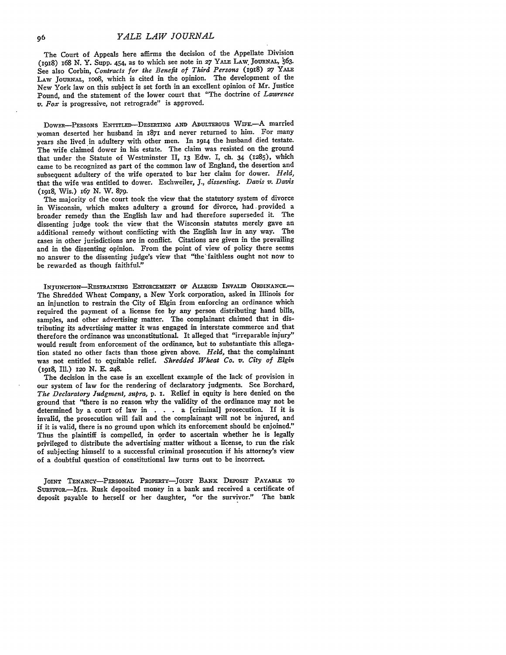The Court of Appeals here affirms the decision of the Appellate Division (1918) 168 N. Y. Supp. 454, as to which see note in 27 YALE LAW JOURNAL, 563. See also Corbin, *Contracts for the Benefit of Third Persons* (I918) **27** YALE LAW JOURNAL, 1008, which is cited in the opinion. The development of the New York law on this subject is set forth in an excellent opinion of Mr. Justice Pound, and the statement of the lower court that "The doctrine of *Lawrence v. Fox* is progressive, not retrograde" is approved.

DOWER-PERSONS ENTITLED-DESERTING AND ADULTEROUS WIFE.- A married woman deserted her husband in **1871** and never returned to him. For many years she lived in adultery with other men. In 1914 the husband died testate. The wife claimed dower in his estate. The claim was resisted on the ground that under the Statute of Westminster II, **13** Edw. I, ch. 34 **(1285),** which came to be recognized as part of the common law of England, the desertion and subsequent adultery of the wife operated to bar her claim for dower. *Held,* that the wife was entitled to dower. Eschweiler, **J.,** *dissenting. Davis v. Davis* (1I918, Wis.) 167 **N.** W. **879.**

The majority of the court took the view that the statutory system of divorce in Wisconsin, which makes adultery a ground for divorce, had. provided a broader remedy than the English law and had therefore superseded it. The dissenting judge took the view that the Wisconsin statutes merely gave an additional remedy without conflicting with the English law in any way. The cases in other jurisdictions are in conflict. Citations are given in the prevailing and in the dissenting opinion. From the point of view of policy there seems no answer to the dissenting judge's view that "the'-faithless ought not now to be rewarded as though faithful."

**INJUNCTION-RESTRAINING ENFORCEMENT OF ALLEGED** INVALID **ORDINANCE.-** The Shredded Wheat Company, a New York corporation, asked in Illinois for an injunction to restrain the City of Elgin from enforcing an ordinance which required the payment of a license fee **by** any person distributing hand bills, samples, and other advertising matter. The complainant claimed that in distributing its advertising matter it was engaged in interstate commerce and that therefore the ordinance was unconstitutional. It alleged that "irreparable injury" would result from enforcement of the ordinance, but to substantiate this allegation stated no other facts than those given above. *Held,* that the complainant was not entitled to equitable relief. *Shredded Wheat Co. v. City of Elgin* **(1918,** Ill.) **12o N. E.** 248.

The decision in the case is an excellent example of the lack of provision in our system of law for the rendering of declaratory judgments. See Borchard, *The Declaratory Judgment, supra,* **p. i.** Relief in equity is here denied on the ground that "there is no reason why the validity of the ordinance may not be determined **by** a court of law in **. . .** a [criminal] prosecution. If it is invalid, the prosecution will fail and the complainant will not be injured, and if it is valid, there is no ground upon which its enforcement should be enjoined." Thus the plaintiff is compelled, in order to ascertain whether he is legally privileged to distribute the advertising matter without a license, to run the risk of subjecting himself to a successful criminal prosecution if his attorney's view of a doubtful question of constitutional law turns out to be incorrect.

**JOINT TENANCY-PERsoNAL** PROPERTY-JOINT **BANK** DEPosrr **PAYABLE TO** SupvivoR-Mrs. Rusk deposited money in a bank and received a certificate of deposit payable to herself or her daughter, "or the survivor." The bank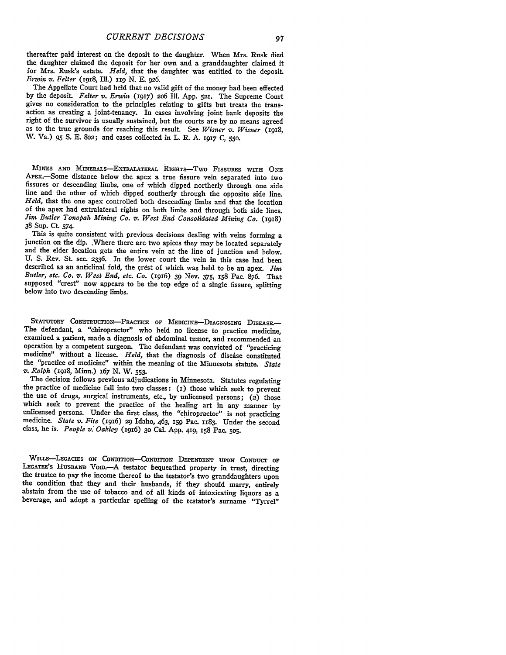thereafter paid interest on the deposit to the daughter. When Mrs. Rusk died the daughter claimed the deposit for her own and a granddaughter claimed it for Mrs. Rusk's estate. *Held,* that the daughter was entitled to the deposit. *Erwin v. Felter* **(1918,** IlL) **119 N. E. 926.**

The Appellate Court had held that no valid gift of the money had been effected **by** the deposit. *Felter v. Erwin* **(1917) 2o6** Ill. **App. 521.** The Supreme Court gives no consideration to the principles relating to gifts but treats the transaction as creating a joint-tenancy. In cases involving joint bank deposits the right of the survivor is usually sustained, but the courts are by no means agreed as to the true grounds for reaching this result. See *Wisner v. Wisner* (1918, W. Va.) **95 S. E.** 8o2; and cases collected in L. R. **A. 1917 C, 550.**

**MINES AND MINERALs-ExTRALATERAL RIGHTS-Two** FISSURES **wrrH ONE** APEx-Some distance below the apex a true fissure vein separated into two fissures or descending limbs, one of which dipped northerly through one side line and the other of which dipped southerly through the opposite side line. *Held,* that the one apex controlled both descending limbs and that the location of the apex had extralateral rights on both limbs and through both side lines. *Jim Butler Tonopah Mining Co. v. West End Consolidated Mining Co.* **(1918) 38** Sup. **Ct. 574.**

This is quite consistent with previous decisions dealing with veins forming a junction on the dip. Where there are two apices they may be located separately and the elder location gets the entire vein at the line of juncti **U. S.** Rev. **St.** see. **2336.** In the lower court the vein in this case had been described as an anticlinal fold, the crest of which was held to be an apex. *Jim Butler, etc. Co. v. West End, etc. Co.* **(1916) 39** Nev. **375, 158** Pac. **876.** That supposed "crest" now appears to be the top edge of a single fissure, splitting below into two descending limbs.

STATUTORY CONSTRUCTION-PRACTICE OF MEDICINE-DIAGNOSING DISEASE. The defendant, a "chiropractor" who held no license to practice medicine, operation by a competent surgeon. The defendant was convicted of "practicing medicine" without a license. *Held*, that the diagnosis of disease constituted the "practice of medicine" within the meaning of the Minnesota statute. *State v. Rolph* **(1918,** Minn.) *167* **N.** W. **553.**

The decision follows previous adjudications in Minnesota. Statutes regulating the practice of medicine fall into two classes: **(I)** those which seek to prevent the use of drugs, surgical instruments, etc., **by** unlicensed persons; **(2)** those unlicensed persons. Under the first class, the "chiropractor" is not practicing medicine. State v. Fite (1916) 29 Idaho,  $463$ , 159 Pac. 1183. Under the second class, he is. *People v. Oakley* **(I916) 3o** Cal. **App. 419, I58** Pac. **5o5.**

WILLS-LEGACIES ON CONDITION-CONDITION DEPENDENT UPON CONDUCT OF LEGATEE'S HUSBAND VOID.<sup>-</sup>-A testator bequeathed property in trust, directing the trustee to pay the income thereof to the testator's two granddaughters upon<br>the condition that they and their husbands, if they should marry, entirely<br>abstain from the use of tobacco and of all kinds of intoxicating li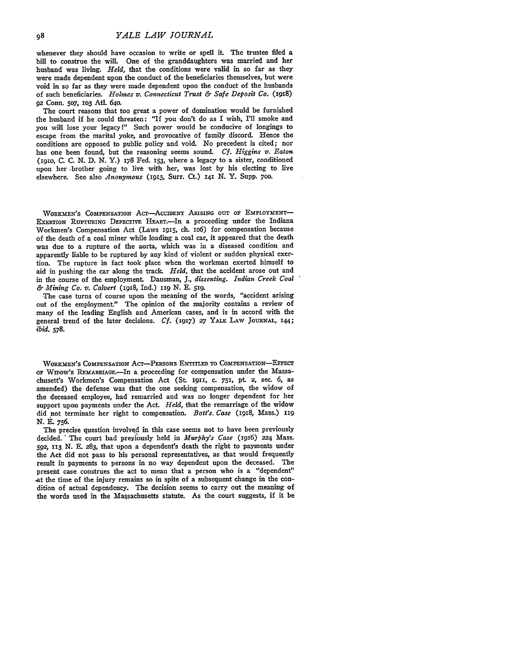whenever they should have occasion to write or spell it. The trustee filed a bill to construe the will. One of the granddaughters was married and her husband was living. *Held,* that the conditions were valid in so far as they were made dependent upon the conduct of the beneficiaries themselves, but were void in so far as they were made dependent upon the conduct of the husbands of such beneficiaries. *Holmes v. Connecticut Trust & Safe Deposit Co.* (I918) **92** Conn. 507, **1O3** Atl. **64o.**

The court reasons that too great a power of domination would be furnished the husband if he could threaten: "If you don't do as I wish, I'll smoke and you will lose your legacy1" Such power would be conducive of longings to escape from the marital yoke, and provocative of family discord. Hence the conditions are opposed to public policy and void. No precedent is cited; nor has one been found, but the reasoning seems sound. *Cf. Higgins v. Eaton* (i9IO, C. C. N. D. N. Y.) 178 Fed. **153,** where a legacy to a sister, conditioned upon her .brother going to live with her, was lost by his electing to live elsewhere. See also *Anonymous* **(I913,** Surr. Ct.) **41** *N.* Y. Supp. 7oo.

WORKMEN'S COMPENSATION ACT-ACCIDENT ARISING OUT OF EMPLOYMENT-ExERTIoN **RUPTURING DEFEcrIvE** HEAxT.-In a proceeding under the Indiana Workmen's Compensation Act (Laws 1915, ch. 106) for compensation because of the death of a coal miner while loading a coal car, it appeared that the death was due to a rupture of the aorta, which was in a diseased condition and apparently liable to be ruptured by any kind of violent or sudden physical exertion. The rupture in fact took place when the workman exerted himself to aid in pushing the car along the track. *Held,* that the accident arose out and in the course of the employment. Dausman, *J., dissenting. Indian Creek Coal & Mining Co. v. Calvert* (I918, Ind.) iig **N. E.** 51g.

The case turns of course upon the meaning of the words, "accident arising out of the employment." The opinion of the majority contains a review of many of the leading English and American cases, and is in accord with the general trend of the later decisions. *Cf.* **(1917)** *27* YALE **LAW JOURNAL, 144;** *ibid.* **578.**

**WORKMEN'S** COMPENSATION AcT-PERSoNs ENTITLED **To COMPENSATION-EFFECT OF WIDoW's REmARRIAGE.-In** a proceeding **for** compensation under the Massachusett's Workmen's Compensation Act (St. **1911,** c. 751, **pt 2,** sec. **6,** as amended) the defense was that the one seeking compensation, the widow of the deceased employee, had remarried and was no longer dependent for her support upon payments under the Act. *Held,* that the remarriage of the widow did not terminate her right to compensation. *Bott's. Case* (1918, Mass.) **<sup>119</sup> N.** E. **756.**

The precise question involved in this case seems not to have been previously decided. The court had preyiously held in *Murphy's Case* (I916) **224** Mass. **592, 113** N. E. 283, that upon a dependent's death the right to payments under the Act did not pass to his personal representatives, as that would frequently result in payments to persons in no way dependent upon the deceased. The present case construes the act to mean that a person who is a "dependent" -at the time of the injury remains so in spite of a subsequent change in the condition of actual dependency. The decision seems to carry out the meaning of the words used in the Massachusetts statute. As the court suggests, if it be